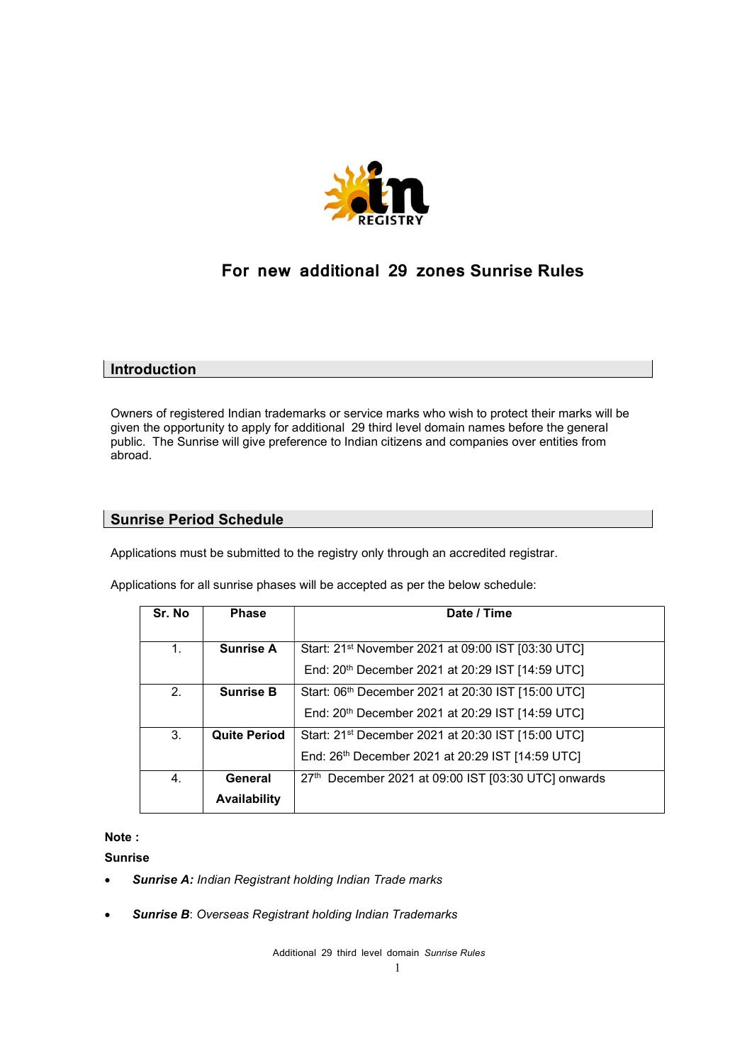

# For new additional 29 zones Sunrise Rules

## **Introduction**

Owners of registered Indian trademarks or service marks who wish to protect their marks will be given the opportunity to apply for additional 29 third level domain names before the general public. The Sunrise will give preference to Indian citizens and companies over entities from abroad.

## Sunrise Period Schedule

Applications must be submitted to the registry only through an accredited registrar.

Applications for all sunrise phases will be accepted as per the below schedule:

| Sr. No         | <b>Phase</b>        | Date / Time                                                    |
|----------------|---------------------|----------------------------------------------------------------|
| 1 <sub>1</sub> | <b>Sunrise A</b>    | Start: 21 <sup>st</sup> November 2021 at 09:00 IST [03:30 UTC] |
|                |                     | End: 20 <sup>th</sup> December 2021 at 20:29 IST [14:59 UTC]   |
| 2.             | <b>Sunrise B</b>    | Start: 06th December 2021 at 20:30 IST [15:00 UTC]             |
|                |                     | End: 20 <sup>th</sup> December 2021 at 20:29 IST [14:59 UTC]   |
| 3.             | <b>Quite Period</b> | Start: 21 <sup>st</sup> December 2021 at 20:30 IST [15:00 UTC] |
|                |                     | End: 26 <sup>th</sup> December 2021 at 20:29 IST [14:59 UTC]   |
| 4.             | General             | 27th December 2021 at 09:00 IST [03:30 UTC] onwards            |
|                | <b>Availability</b> |                                                                |

### Note :

Sunrise

- Sunrise A: Indian Registrant holding Indian Trade marks
- **Sunrise B: Overseas Registrant holding Indian Trademarks**

Additional 29 third level domain Sunrise Rules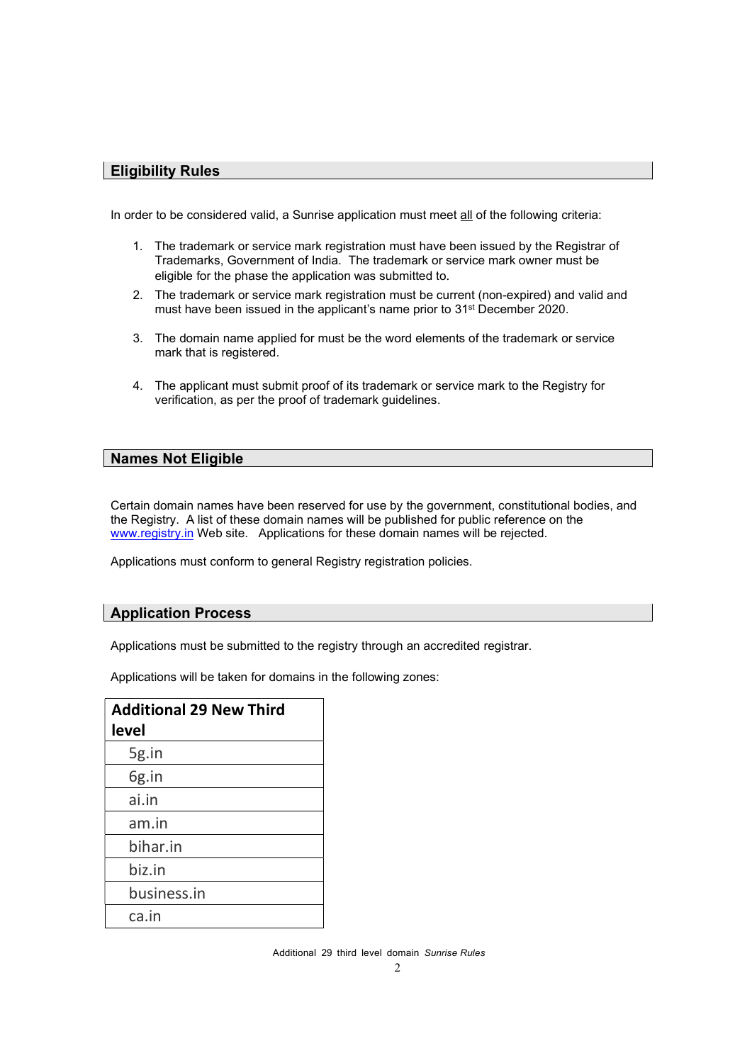## Eligibility Rules

In order to be considered valid, a Sunrise application must meet all of the following criteria:

- 1. The trademark or service mark registration must have been issued by the Registrar of Trademarks, Government of India. The trademark or service mark owner must be eligible for the phase the application was submitted to.
- 2. The trademark or service mark registration must be current (non-expired) and valid and must have been issued in the applicant's name prior to 31st December 2020.
- 3. The domain name applied for must be the word elements of the trademark or service mark that is registered.
- 4. The applicant must submit proof of its trademark or service mark to the Registry for verification, as per the proof of trademark guidelines.

## Names Not Eligible

Certain domain names have been reserved for use by the government, constitutional bodies, and the Registry. A list of these domain names will be published for public reference on the www.registry.in Web site. Applications for these domain names will be rejected.

Applications must conform to general Registry registration policies.

### Application Process

Applications must be submitted to the registry through an accredited registrar.

Applications will be taken for domains in the following zones:

| <b>Additional 29 New Third</b><br>level |
|-----------------------------------------|
| 5g.in                                   |
| 6g.in                                   |
| ai.in                                   |
| am.in                                   |
| bihar.in                                |
| biz.in                                  |
| business.in                             |
| ca.in                                   |

Additional 29 third level domain Sunrise Rules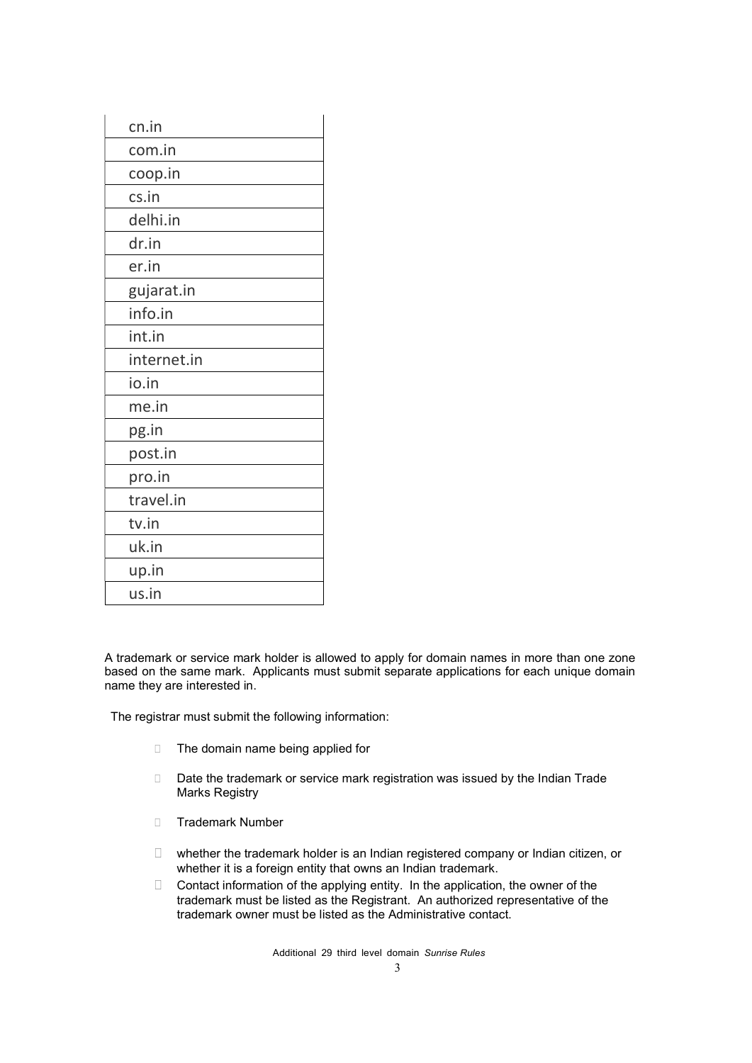| cn.in       |
|-------------|
| com.in      |
| coop.in     |
| cs.in       |
| delhi.in    |
| dr.in       |
| er.in       |
| gujarat.in  |
| info.in     |
| int.in      |
| internet.in |
| io.in       |
| me.in       |
| pg.in       |
| post.in     |
| pro.in      |
| travel.in   |
| tv.in       |
| uk.in       |
| up.in       |
| us.in       |

A trademark or service mark holder is allowed to apply for domain names in more than one zone based on the same mark. Applicants must submit separate applications for each unique domain name they are interested in.

The registrar must submit the following information:

- □ The domain name being applied for
- Date the trademark or service mark registration was issued by the Indian Trade Marks Registry
- **Trademark Number**
- $\Box$  whether the trademark holder is an Indian registered company or Indian citizen, or whether it is a foreign entity that owns an Indian trademark.
- $\Box$  Contact information of the applying entity. In the application, the owner of the trademark must be listed as the Registrant. An authorized representative of the trademark owner must be listed as the Administrative contact.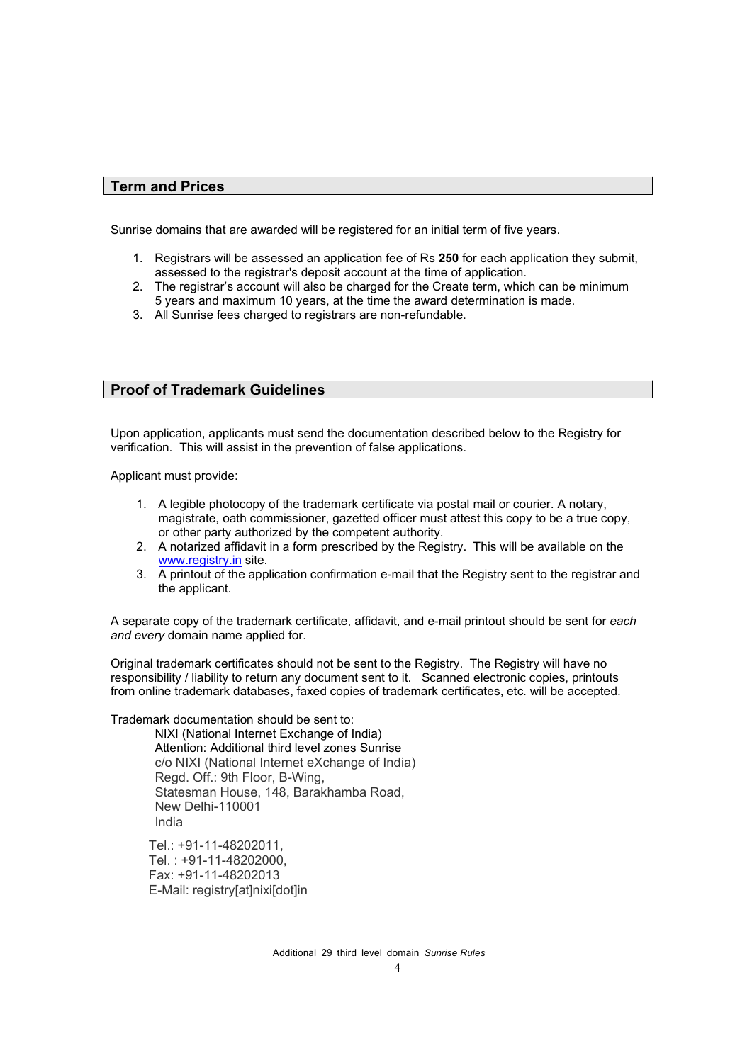#### Term and Prices

Sunrise domains that are awarded will be registered for an initial term of five years.

- 1. Registrars will be assessed an application fee of Rs 250 for each application they submit, assessed to the registrar's deposit account at the time of application.
- 2. The registrar's account will also be charged for the Create term, which can be minimum 5 years and maximum 10 years, at the time the award determination is made.
- 3. All Sunrise fees charged to registrars are non-refundable.

#### Proof of Trademark Guidelines

Upon application, applicants must send the documentation described below to the Registry for verification. This will assist in the prevention of false applications.

Applicant must provide:

- 1. A legible photocopy of the trademark certificate via postal mail or courier. A notary, magistrate, oath commissioner, gazetted officer must attest this copy to be a true copy, or other party authorized by the competent authority.
- 2. A notarized affidavit in a form prescribed by the Registry. This will be available on the www.registry.in site.
- 3. A printout of the application confirmation e-mail that the Registry sent to the registrar and the applicant.

A separate copy of the trademark certificate, affidavit, and e-mail printout should be sent for each and every domain name applied for.

Original trademark certificates should not be sent to the Registry. The Registry will have no responsibility / liability to return any document sent to it. Scanned electronic copies, printouts from online trademark databases, faxed copies of trademark certificates, etc. will be accepted.

Trademark documentation should be sent to:

NIXI (National Internet Exchange of India) Attention: Additional third level zones Sunrise c/o NIXI (National Internet eXchange of India) Regd. Off.: 9th Floor, B-Wing, Statesman House, 148, Barakhamba Road, New Delhi-110001 India

Tel.: +91-11-48202011, Tel. : +91-11-48202000, Fax: +91-11-48202013 E-Mail: registry[at]nixi[dot]in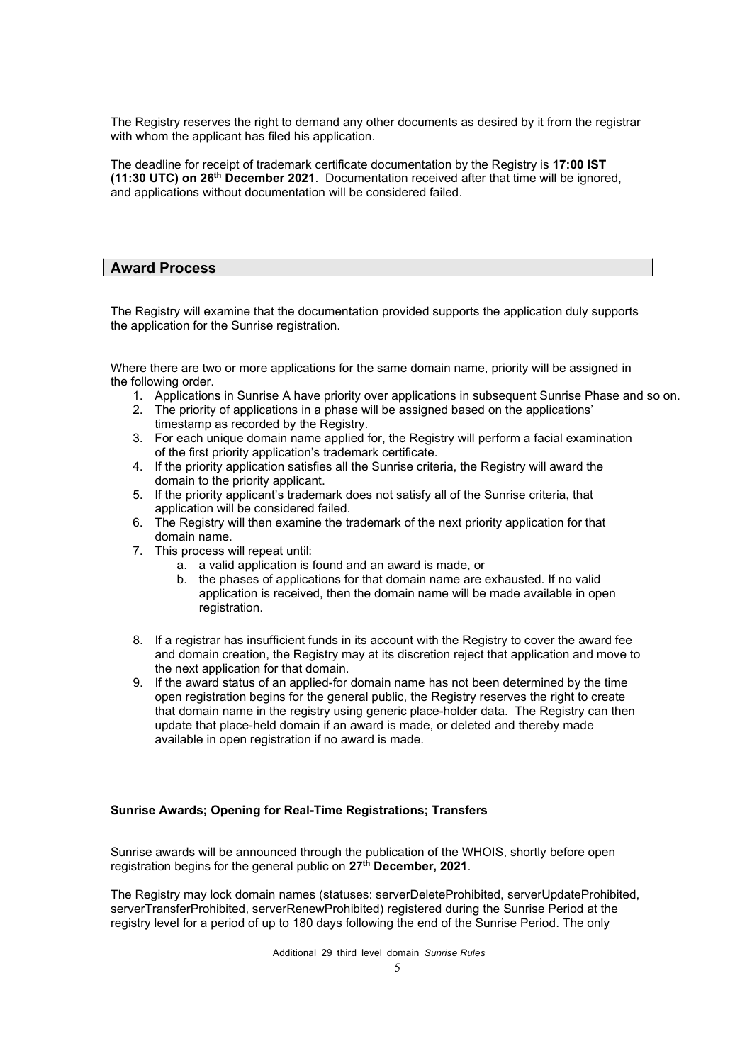The Registry reserves the right to demand any other documents as desired by it from the registrar with whom the applicant has filed his application.

The deadline for receipt of trademark certificate documentation by the Registry is 17:00 IST (11:30 UTC) on 26th December 2021. Documentation received after that time will be ignored, and applications without documentation will be considered failed.

#### Award Process

The Registry will examine that the documentation provided supports the application duly supports the application for the Sunrise registration.

Where there are two or more applications for the same domain name, priority will be assigned in the following order.

- 1. Applications in Sunrise A have priority over applications in subsequent Sunrise Phase and so on.
- 2. The priority of applications in a phase will be assigned based on the applications' timestamp as recorded by the Registry.
- 3. For each unique domain name applied for, the Registry will perform a facial examination of the first priority application's trademark certificate.
- 4. If the priority application satisfies all the Sunrise criteria, the Registry will award the domain to the priority applicant.
- 5. If the priority applicant's trademark does not satisfy all of the Sunrise criteria, that application will be considered failed.
- 6. The Registry will then examine the trademark of the next priority application for that domain name.
- 7. This process will repeat until:
	- a. a valid application is found and an award is made, or
	- b. the phases of applications for that domain name are exhausted. If no valid application is received, then the domain name will be made available in open registration.
- 8. If a registrar has insufficient funds in its account with the Registry to cover the award fee and domain creation, the Registry may at its discretion reject that application and move to the next application for that domain.
- 9. If the award status of an applied-for domain name has not been determined by the time open registration begins for the general public, the Registry reserves the right to create that domain name in the registry using generic place-holder data. The Registry can then update that place-held domain if an award is made, or deleted and thereby made available in open registration if no award is made.

#### Sunrise Awards; Opening for Real-Time Registrations; Transfers

Sunrise awards will be announced through the publication of the WHOIS, shortly before open registration begins for the general public on 27<sup>th</sup> December, 2021.

The Registry may lock domain names (statuses: serverDeleteProhibited, serverUpdateProhibited, serverTransferProhibited, serverRenewProhibited) registered during the Sunrise Period at the registry level for a period of up to 180 days following the end of the Sunrise Period. The only